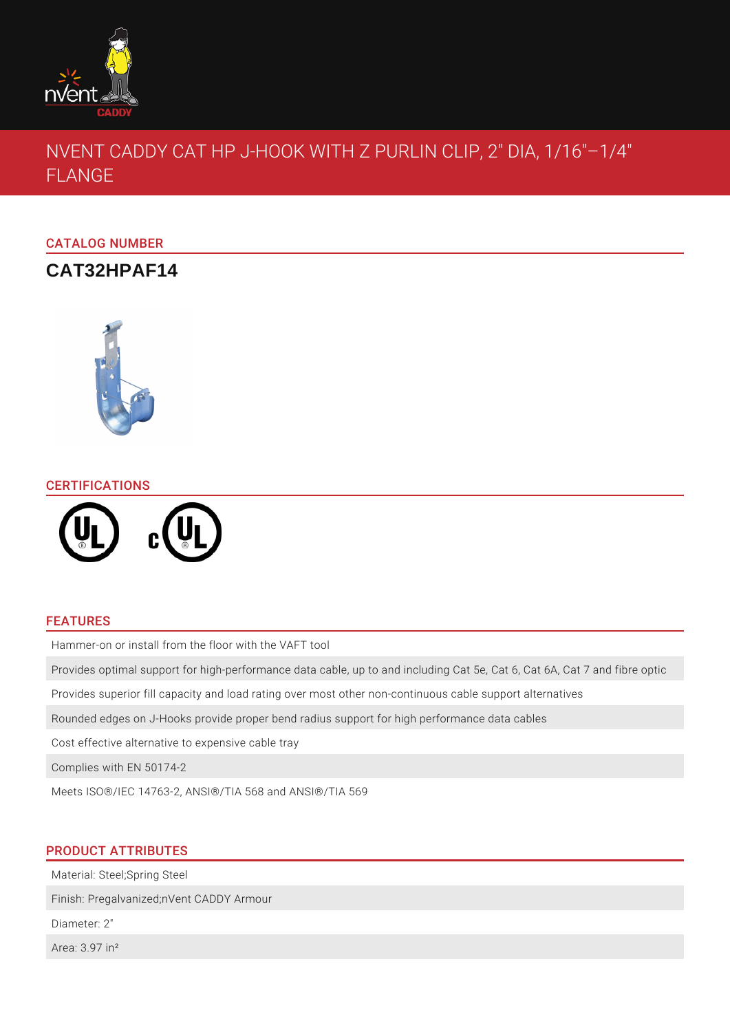

# NVENT CADDY CAT HP J-HOOK WITH Z PURLIN CLIP, 2" DIA, 1/16"–1/4" FLANGE

## CATALOG NUMBER

## **CAT32HPAF14**



## **CERTIFICATIONS**



## FEATURES

Hammer-on or install from the floor with the VAFT tool

Provides optimal support for high-performance data cable, up to and including Cat 5e, Cat 6, Cat 6A, Cat 7 and fibre optic

Provides superior fill capacity and load rating over most other non-continuous cable support alternatives

Rounded edges on J-Hooks provide proper bend radius support for high performance data cables

Cost effective alternative to expensive cable tray

Complies with EN 50174-2

Meets ISO®/IEC 14763-2, ANSI®/TIA 568 and ANSI®/TIA 569

## PRODUCT ATTRIBUTES

Material: Steel;Spring Steel

Finish: Pregalvanized;nVent CADDY Armour

Diameter: 2"

Area: 3.97 in²